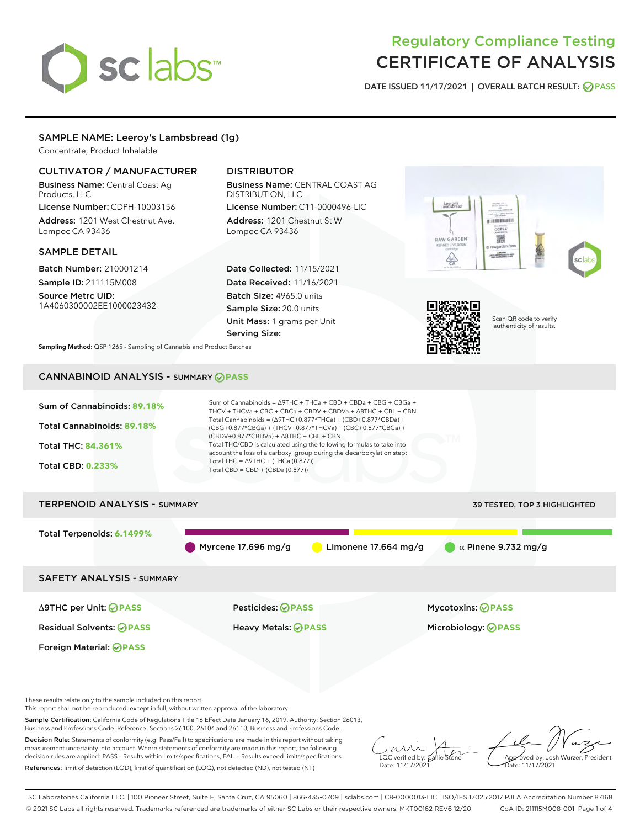

# Regulatory Compliance Testing CERTIFICATE OF ANALYSIS

DATE ISSUED 11/17/2021 | OVERALL BATCH RESULT: @ PASS

# SAMPLE NAME: Leeroy's Lambsbread (1g)

Concentrate, Product Inhalable

# CULTIVATOR / MANUFACTURER

Business Name: Central Coast Ag Products, LLC

License Number: CDPH-10003156 Address: 1201 West Chestnut Ave. Lompoc CA 93436

# SAMPLE DETAIL

Batch Number: 210001214 Sample ID: 211115M008

Source Metrc UID: 1A4060300002EE1000023432

# DISTRIBUTOR

Business Name: CENTRAL COAST AG DISTRIBUTION, LLC

License Number: C11-0000496-LIC Address: 1201 Chestnut St W Lompoc CA 93436

Date Collected: 11/15/2021 Date Received: 11/16/2021 Batch Size: 4965.0 units Sample Size: 20.0 units Unit Mass: 1 grams per Unit Serving Size:





Scan QR code to verify authenticity of results.

Sampling Method: QSP 1265 - Sampling of Cannabis and Product Batches

# CANNABINOID ANALYSIS - SUMMARY **PASS**



These results relate only to the sample included on this report.

This report shall not be reproduced, except in full, without written approval of the laboratory.

Sample Certification: California Code of Regulations Title 16 Effect Date January 16, 2019. Authority: Section 26013, Business and Professions Code. Reference: Sections 26100, 26104 and 26110, Business and Professions Code.

Decision Rule: Statements of conformity (e.g. Pass/Fail) to specifications are made in this report without taking measurement uncertainty into account. Where statements of conformity are made in this report, the following decision rules are applied: PASS – Results within limits/specifications, FAIL – Results exceed limits/specifications. References: limit of detection (LOD), limit of quantification (LOQ), not detected (ND), not tested (NT)

 $\overline{\text{LOC}}$  verified by:  $\mathcal{C}_i$ Date: 11/17/202<sup>1</sup>

Approved by: Josh Wurzer, President ..<br>te: 11/17/2021

SC Laboratories California LLC. | 100 Pioneer Street, Suite E, Santa Cruz, CA 95060 | 866-435-0709 | sclabs.com | C8-0000013-LIC | ISO/IES 17025:2017 PJLA Accreditation Number 87168 © 2021 SC Labs all rights reserved. Trademarks referenced are trademarks of either SC Labs or their respective owners. MKT00162 REV6 12/20 CoA ID: 211115M008-001 Page 1 of 4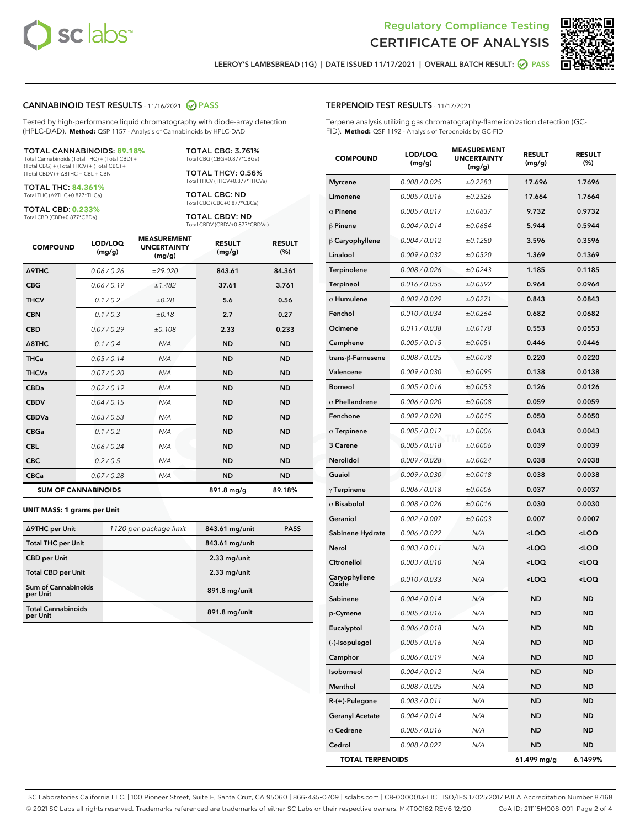

Terpene analysis utilizing gas chromatography-flame ionization detection (GC-



LEEROY'S LAMBSBREAD (1G) | DATE ISSUED 11/17/2021 | OVERALL BATCH RESULT: 2 PASS

TERPENOID TEST RESULTS - 11/17/2021

FID). **Method:** QSP 1192 - Analysis of Terpenoids by GC-FID

## CANNABINOID TEST RESULTS - 11/16/2021 2 PASS

Tested by high-performance liquid chromatography with diode-array detection (HPLC-DAD). **Method:** QSP 1157 - Analysis of Cannabinoids by HPLC-DAD

#### TOTAL CANNABINOIDS: **89.18%**

Total Cannabinoids (Total THC) + (Total CBD) + (Total CBG) + (Total THCV) + (Total CBC) + (Total CBDV) + ∆8THC + CBL + CBN

TOTAL THC: **84.361%** Total THC (∆9THC+0.877\*THCa)

TOTAL CBD: **0.233%**

Total CBD (CBD+0.877\*CBDa)

TOTAL CBG: 3.761% Total CBG (CBG+0.877\*CBGa)

TOTAL THCV: 0.56% Total THCV (THCV+0.877\*THCVa)

TOTAL CBC: ND Total CBC (CBC+0.877\*CBCa)

TOTAL CBDV: ND Total CBDV (CBDV+0.877\*CBDVa)

| <b>COMPOUND</b>            | LOD/LOQ<br>(mg/g) | <b>MEASUREMENT</b><br><b>UNCERTAINTY</b><br>(mg/g) | <b>RESULT</b><br>(mg/g) | <b>RESULT</b><br>(%) |
|----------------------------|-------------------|----------------------------------------------------|-------------------------|----------------------|
| <b>A9THC</b>               | 0.06 / 0.26       | ±29.020                                            | 843.61                  | 84.361               |
| <b>CBG</b>                 | 0.06/0.19         | ±1.482                                             | 37.61                   | 3.761                |
| <b>THCV</b>                | 0.1 / 0.2         | ±0.28                                              | 5.6                     | 0.56                 |
| <b>CBN</b>                 | 0.1 / 0.3         | ±0.18                                              | 2.7                     | 0.27                 |
| <b>CBD</b>                 | 0.07/0.29         | ±0.108                                             | 2.33                    | 0.233                |
| $\triangle$ 8THC           | 0.1 / 0.4         | N/A                                                | <b>ND</b>               | <b>ND</b>            |
| <b>THCa</b>                | 0.05/0.14         | N/A                                                | <b>ND</b>               | <b>ND</b>            |
| <b>THCVa</b>               | 0.07/0.20         | N/A                                                | <b>ND</b>               | <b>ND</b>            |
| <b>CBDa</b>                | 0.02/0.19         | N/A                                                | <b>ND</b>               | <b>ND</b>            |
| <b>CBDV</b>                | 0.04/0.15         | N/A                                                | <b>ND</b>               | <b>ND</b>            |
| <b>CBDVa</b>               | 0.03/0.53         | N/A                                                | <b>ND</b>               | <b>ND</b>            |
| <b>CBGa</b>                | 0.1/0.2           | N/A                                                | <b>ND</b>               | <b>ND</b>            |
| <b>CBL</b>                 | 0.06 / 0.24       | N/A                                                | <b>ND</b>               | <b>ND</b>            |
| <b>CBC</b>                 | 0.2 / 0.5         | N/A                                                | <b>ND</b>               | <b>ND</b>            |
| <b>CBCa</b>                | 0.07 / 0.28       | N/A                                                | <b>ND</b>               | <b>ND</b>            |
| <b>SUM OF CANNABINOIDS</b> |                   |                                                    | 891.8 mg/g              | 89.18%               |

#### **UNIT MASS: 1 grams per Unit**

| ∆9THC per Unit                         | 1120 per-package limit | 843.61 mg/unit | <b>PASS</b> |
|----------------------------------------|------------------------|----------------|-------------|
| <b>Total THC per Unit</b>              |                        | 843.61 mg/unit |             |
| <b>CBD per Unit</b>                    |                        | $2.33$ mg/unit |             |
| <b>Total CBD per Unit</b>              |                        | $2.33$ mg/unit |             |
| <b>Sum of Cannabinoids</b><br>per Unit |                        | 891.8 mg/unit  |             |
| <b>Total Cannabinoids</b><br>per Unit  |                        | 891.8 mg/unit  |             |

| <b>COMPOUND</b>         | LOD/LOQ<br>(mg/g) | <b>MEASUREMENT</b><br><b>UNCERTAINTY</b><br>(mg/g) | <b>RESULT</b><br>(mg/g)                         | <b>RESULT</b><br>(%) |
|-------------------------|-------------------|----------------------------------------------------|-------------------------------------------------|----------------------|
| Myrcene                 | 0.008 / 0.025     | ±0.2283                                            | 17.696                                          | 1.7696               |
| Limonene                | 0.005 / 0.016     | ±0.2526                                            | 17.664                                          | 1.7664               |
| $\alpha$ Pinene         | 0.005 / 0.017     | ±0.0837                                            | 9.732                                           | 0.9732               |
| β Pinene                | 0.004 / 0.014     | ±0.0684                                            | 5.944                                           | 0.5944               |
| $\upbeta$ Caryophyllene | 0.004 / 0.012     | ±0.1280                                            | 3.596                                           | 0.3596               |
| Linalool                | 0.009 / 0.032     | ±0.0520                                            | 1.369                                           | 0.1369               |
| Terpinolene             | 0.008 / 0.026     | ±0.0243                                            | 1.185                                           | 0.1185               |
| Terpineol               | 0.016 / 0.055     | ±0.0592                                            | 0.964                                           | 0.0964               |
| $\alpha$ Humulene       | 0.009 / 0.029     | ±0.0271                                            | 0.843                                           | 0.0843               |
| Fenchol                 | 0.010 / 0.034     | ±0.0264                                            | 0.682                                           | 0.0682               |
| Ocimene                 | 0.011 / 0.038     | ±0.0178                                            | 0.553                                           | 0.0553               |
| Camphene                | 0.005 / 0.015     | ±0.0051                                            | 0.446                                           | 0.0446               |
| trans-β-Farnesene       | 0.008 / 0.025     | ±0.0078                                            | 0.220                                           | 0.0220               |
| Valencene               | 0.009 / 0.030     | ±0.0095                                            | 0.138                                           | 0.0138               |
| Borneol                 | 0.005 / 0.016     | ±0.0053                                            | 0.126                                           | 0.0126               |
| $\alpha$ Phellandrene   | 0.006 / 0.020     | ±0.0008                                            | 0.059                                           | 0.0059               |
| Fenchone                | 0.009 / 0.028     | ±0.0015                                            | 0.050                                           | 0.0050               |
| $\alpha$ Terpinene      | 0.005 / 0.017     | ±0.0006                                            | 0.043                                           | 0.0043               |
| <b>3 Carene</b>         | 0.005 / 0.018     | ±0.0006                                            | 0.039                                           | 0.0039               |
| Nerolidol               | 0.009 / 0.028     | ±0.0024                                            | 0.038                                           | 0.0038               |
| Guaiol                  | 0.009 / 0.030     | ±0.0018                                            | 0.038                                           | 0.0038               |
| $\gamma$ Terpinene      | 0.006 / 0.018     | ±0.0006                                            | 0.037                                           | 0.0037               |
| $\alpha$ Bisabolol      | 0.008 / 0.026     | ±0.0016                                            | 0.030                                           | 0.0030               |
| Geraniol                | 0.002 / 0.007     | ±0.0003                                            | 0.007                                           | 0.0007               |
| Sabinene Hydrate        | 0.006 / 0.022     | N/A                                                | <loq< th=""><th><loq< th=""></loq<></th></loq<> | <loq< th=""></loq<>  |
| Nerol                   | 0.003 / 0.011     | N/A                                                | <loq< th=""><th><loq< th=""></loq<></th></loq<> | <loq< th=""></loq<>  |
| Citronellol             | 0.003 / 0.010     | N/A                                                | <loq< th=""><th><loq< th=""></loq<></th></loq<> | <loq< th=""></loq<>  |
| Caryophyllene<br>Oxide  | 0.010 / 0.033     | N/A                                                | <loq< th=""><th><loq< th=""></loq<></th></loq<> | <loq< th=""></loq<>  |
| Sabinene                | 0.004 / 0.014     | N/A                                                | <b>ND</b>                                       | <b>ND</b>            |
| p-Cymene                | 0.005 / 0.016     | N/A                                                | ND.                                             | <b>ND</b>            |
| Eucalyptol              | 0.006 / 0.018     | N/A                                                | ND                                              | ND                   |
| (-)-Isopulegol          | 0.005 / 0.016     | N/A                                                | ND                                              | <b>ND</b>            |
| Camphor                 | 0.006 / 0.019     | N/A                                                | ND                                              | <b>ND</b>            |
| Isoborneol              | 0.004 / 0.012     | N/A                                                | ND                                              | ND                   |
| Menthol                 | 0.008 / 0.025     | N/A                                                | ND                                              | ND                   |
| R-(+)-Pulegone          | 0.003 / 0.011     | N/A                                                | ND                                              | <b>ND</b>            |
| <b>Geranyl Acetate</b>  | 0.004 / 0.014     | N/A                                                | ND                                              | ND                   |
| $\alpha$ Cedrene        | 0.005 / 0.016     | N/A                                                | ND                                              | <b>ND</b>            |
| Cedrol                  | 0.008 / 0.027     | N/A                                                | ND                                              | <b>ND</b>            |

TOTAL TERPENOIDS 61.499 mg/g 6.1499%

SC Laboratories California LLC. | 100 Pioneer Street, Suite E, Santa Cruz, CA 95060 | 866-435-0709 | sclabs.com | C8-0000013-LIC | ISO/IES 17025:2017 PJLA Accreditation Number 87168 © 2021 SC Labs all rights reserved. Trademarks referenced are trademarks of either SC Labs or their respective owners. MKT00162 REV6 12/20 CoA ID: 211115M008-001 Page 2 of 4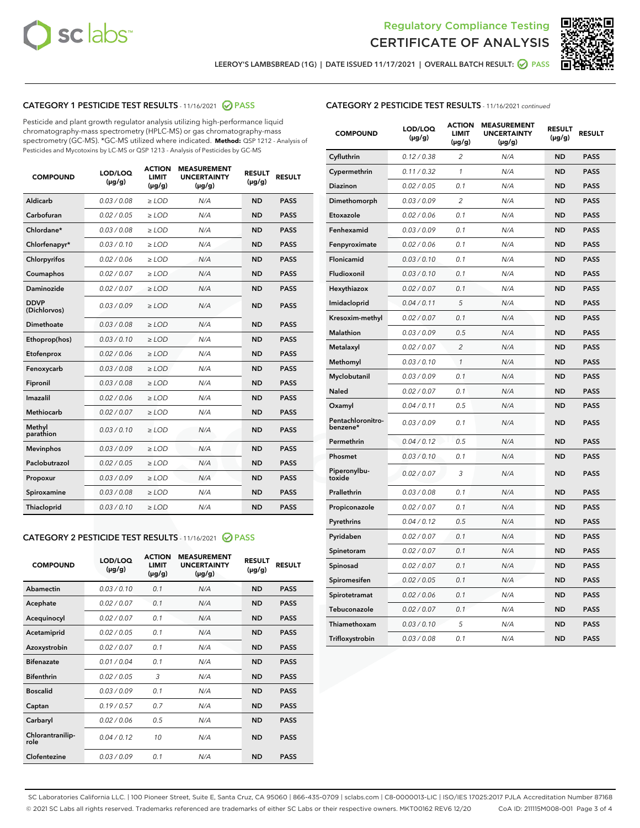



LEEROY'S LAMBSBREAD (1G) | DATE ISSUED 11/17/2021 | OVERALL BATCH RESULT: @ PASS

# CATEGORY 1 PESTICIDE TEST RESULTS - 11/16/2021 2 PASS

Pesticide and plant growth regulator analysis utilizing high-performance liquid chromatography-mass spectrometry (HPLC-MS) or gas chromatography-mass spectrometry (GC-MS). \*GC-MS utilized where indicated. **Method:** QSP 1212 - Analysis of Pesticides and Mycotoxins by LC-MS or QSP 1213 - Analysis of Pesticides by GC-MS

| <b>COMPOUND</b>             | LOD/LOQ<br>$(\mu g/g)$ | <b>ACTION</b><br><b>LIMIT</b><br>$(\mu g/g)$ | <b>MEASUREMENT</b><br><b>UNCERTAINTY</b><br>$(\mu g/g)$ | <b>RESULT</b><br>$(\mu g/g)$ | <b>RESULT</b> |
|-----------------------------|------------------------|----------------------------------------------|---------------------------------------------------------|------------------------------|---------------|
| Aldicarb                    | 0.03/0.08              | $>$ LOD                                      | N/A                                                     | <b>ND</b>                    | <b>PASS</b>   |
| Carbofuran                  | 0.02 / 0.05            | $\ge$ LOD                                    | N/A                                                     | <b>ND</b>                    | <b>PASS</b>   |
| Chlordane*                  | 0.03/0.08              | $>$ LOD                                      | N/A                                                     | <b>ND</b>                    | <b>PASS</b>   |
| Chlorfenapyr*               | 0.03/0.10              | $\ge$ LOD                                    | N/A                                                     | <b>ND</b>                    | <b>PASS</b>   |
| Chlorpyrifos                | 0.02 / 0.06            | $\ge$ LOD                                    | N/A                                                     | <b>ND</b>                    | <b>PASS</b>   |
| Coumaphos                   | 0.02 / 0.07            | $\ge$ LOD                                    | N/A                                                     | <b>ND</b>                    | <b>PASS</b>   |
| Daminozide                  | 0.02 / 0.07            | $\ge$ LOD                                    | N/A                                                     | <b>ND</b>                    | <b>PASS</b>   |
| <b>DDVP</b><br>(Dichlorvos) | 0.03/0.09              | $\ge$ LOD                                    | N/A                                                     | <b>ND</b>                    | <b>PASS</b>   |
| <b>Dimethoate</b>           | 0.03 / 0.08            | $\ge$ LOD                                    | N/A                                                     | <b>ND</b>                    | <b>PASS</b>   |
| Ethoprop(hos)               | 0.03/0.10              | $\ge$ LOD                                    | N/A                                                     | <b>ND</b>                    | <b>PASS</b>   |
| Etofenprox                  | 0.02 / 0.06            | $\ge$ LOD                                    | N/A                                                     | <b>ND</b>                    | <b>PASS</b>   |
| Fenoxycarb                  | 0.03 / 0.08            | $\ge$ LOD                                    | N/A                                                     | <b>ND</b>                    | <b>PASS</b>   |
| Fipronil                    | 0.03/0.08              | $>$ LOD                                      | N/A                                                     | <b>ND</b>                    | <b>PASS</b>   |
| Imazalil                    | 0.02 / 0.06            | $\ge$ LOD                                    | N/A                                                     | <b>ND</b>                    | <b>PASS</b>   |
| Methiocarb                  | 0.02 / 0.07            | $\ge$ LOD                                    | N/A                                                     | <b>ND</b>                    | <b>PASS</b>   |
| Methyl<br>parathion         | 0.03/0.10              | $\ge$ LOD                                    | N/A                                                     | <b>ND</b>                    | <b>PASS</b>   |
| <b>Mevinphos</b>            | 0.03/0.09              | $\ge$ LOD                                    | N/A                                                     | <b>ND</b>                    | <b>PASS</b>   |
| Paclobutrazol               | 0.02 / 0.05            | $>$ LOD                                      | N/A                                                     | <b>ND</b>                    | <b>PASS</b>   |
| Propoxur                    | 0.03/0.09              | $\ge$ LOD                                    | N/A                                                     | <b>ND</b>                    | <b>PASS</b>   |
| Spiroxamine                 | 0.03 / 0.08            | $\ge$ LOD                                    | N/A                                                     | <b>ND</b>                    | <b>PASS</b>   |
| Thiacloprid                 | 0.03/0.10              | $\ge$ LOD                                    | N/A                                                     | <b>ND</b>                    | <b>PASS</b>   |

# CATEGORY 2 PESTICIDE TEST RESULTS - 11/16/2021 @ PASS

| <b>COMPOUND</b>          | LOD/LOQ<br>$(\mu g/g)$ | <b>ACTION</b><br><b>LIMIT</b><br>$(\mu g/g)$ | <b>MEASUREMENT</b><br><b>UNCERTAINTY</b><br>$(\mu g/g)$ | <b>RESULT</b><br>$(\mu g/g)$ | <b>RESULT</b> |
|--------------------------|------------------------|----------------------------------------------|---------------------------------------------------------|------------------------------|---------------|
| Abamectin                | 0.03/0.10              | 0.1                                          | N/A                                                     | <b>ND</b>                    | <b>PASS</b>   |
| Acephate                 | 0.02/0.07              | 0.1                                          | N/A                                                     | <b>ND</b>                    | <b>PASS</b>   |
| Acequinocyl              | 0.02/0.07              | 0.1                                          | N/A                                                     | <b>ND</b>                    | <b>PASS</b>   |
| Acetamiprid              | 0.02/0.05              | 0.1                                          | N/A                                                     | <b>ND</b>                    | <b>PASS</b>   |
| Azoxystrobin             | 0.02/0.07              | 0.1                                          | N/A                                                     | <b>ND</b>                    | <b>PASS</b>   |
| <b>Bifenazate</b>        | 0.01/0.04              | 0.1                                          | N/A                                                     | <b>ND</b>                    | <b>PASS</b>   |
| <b>Bifenthrin</b>        | 0.02 / 0.05            | 3                                            | N/A                                                     | <b>ND</b>                    | <b>PASS</b>   |
| <b>Boscalid</b>          | 0.03/0.09              | 0.1                                          | N/A                                                     | <b>ND</b>                    | <b>PASS</b>   |
| Captan                   | 0.19/0.57              | 0.7                                          | N/A                                                     | <b>ND</b>                    | <b>PASS</b>   |
| Carbaryl                 | 0.02/0.06              | 0.5                                          | N/A                                                     | <b>ND</b>                    | <b>PASS</b>   |
| Chlorantranilip-<br>role | 0.04/0.12              | 10                                           | N/A                                                     | <b>ND</b>                    | <b>PASS</b>   |
| Clofentezine             | 0.03/0.09              | 0.1                                          | N/A                                                     | <b>ND</b>                    | <b>PASS</b>   |

# CATEGORY 2 PESTICIDE TEST RESULTS - 11/16/2021 continued

| <b>COMPOUND</b>               | LOD/LOQ<br>(µg/g) | <b>ACTION</b><br><b>LIMIT</b><br>$(\mu g/g)$ | <b>MEASUREMENT</b><br><b>UNCERTAINTY</b><br>$(\mu g/g)$ | <b>RESULT</b><br>(µg/g) | <b>RESULT</b> |
|-------------------------------|-------------------|----------------------------------------------|---------------------------------------------------------|-------------------------|---------------|
| Cyfluthrin                    | 0.12 / 0.38       | $\overline{c}$                               | N/A                                                     | ND                      | <b>PASS</b>   |
| Cypermethrin                  | 0.11 / 0.32       | $\mathcal{I}$                                | N/A                                                     | ND                      | <b>PASS</b>   |
| <b>Diazinon</b>               | 0.02 / 0.05       | 0.1                                          | N/A                                                     | <b>ND</b>               | <b>PASS</b>   |
| Dimethomorph                  | 0.03 / 0.09       | 2                                            | N/A                                                     | ND                      | <b>PASS</b>   |
| Etoxazole                     | 0.02 / 0.06       | 0.1                                          | N/A                                                     | ND                      | <b>PASS</b>   |
| Fenhexamid                    | 0.03 / 0.09       | 0.1                                          | N/A                                                     | ND                      | <b>PASS</b>   |
| Fenpyroximate                 | 0.02 / 0.06       | 0.1                                          | N/A                                                     | <b>ND</b>               | <b>PASS</b>   |
| Flonicamid                    | 0.03 / 0.10       | 0.1                                          | N/A                                                     | ND                      | <b>PASS</b>   |
| Fludioxonil                   | 0.03 / 0.10       | 0.1                                          | N/A                                                     | ND                      | <b>PASS</b>   |
| Hexythiazox                   | 0.02 / 0.07       | 0.1                                          | N/A                                                     | ND                      | <b>PASS</b>   |
| Imidacloprid                  | 0.04 / 0.11       | 5                                            | N/A                                                     | ND                      | <b>PASS</b>   |
| Kresoxim-methyl               | 0.02 / 0.07       | 0.1                                          | N/A                                                     | ND                      | <b>PASS</b>   |
| Malathion                     | 0.03 / 0.09       | 0.5                                          | N/A                                                     | ND                      | <b>PASS</b>   |
| Metalaxyl                     | 0.02 / 0.07       | $\overline{c}$                               | N/A                                                     | ND                      | <b>PASS</b>   |
| Methomyl                      | 0.03 / 0.10       | $\mathbf{1}$                                 | N/A                                                     | ND                      | <b>PASS</b>   |
| Myclobutanil                  | 0.03 / 0.09       | 0.1                                          | N/A                                                     | <b>ND</b>               | <b>PASS</b>   |
| Naled                         | 0.02 / 0.07       | 0.1                                          | N/A                                                     | ND                      | <b>PASS</b>   |
| Oxamyl                        | 0.04 / 0.11       | 0.5                                          | N/A                                                     | ND                      | PASS          |
| Pentachloronitro-<br>benzene* | 0.03 / 0.09       | 0.1                                          | N/A                                                     | ND                      | <b>PASS</b>   |
| Permethrin                    | 0.04 / 0.12       | 0.5                                          | N/A                                                     | ND                      | <b>PASS</b>   |
| Phosmet                       | 0.03 / 0.10       | 0.1                                          | N/A                                                     | ND                      | <b>PASS</b>   |
| Piperonylbu-<br>toxide        | 0.02 / 0.07       | 3                                            | N/A                                                     | <b>ND</b>               | <b>PASS</b>   |
| Prallethrin                   | 0.03 / 0.08       | 0.1                                          | N/A                                                     | ND                      | <b>PASS</b>   |
| Propiconazole                 | 0.02 / 0.07       | 0.1                                          | N/A                                                     | <b>ND</b>               | <b>PASS</b>   |
| Pyrethrins                    | 0.04 / 0.12       | 0.5                                          | N/A                                                     | ND                      | PASS          |
| Pyridaben                     | 0.02 / 0.07       | 0.1                                          | N/A                                                     | <b>ND</b>               | <b>PASS</b>   |
| Spinetoram                    | 0.02 / 0.07       | 0.1                                          | N/A                                                     | ND                      | <b>PASS</b>   |
| Spinosad                      | 0.02 / 0.07       | 0.1                                          | N/A                                                     | ND                      | PASS          |
| Spiromesifen                  | 0.02 / 0.05       | 0.1                                          | N/A                                                     | <b>ND</b>               | <b>PASS</b>   |
| Spirotetramat                 | 0.02 / 0.06       | 0.1                                          | N/A                                                     | ND                      | <b>PASS</b>   |
| Tebuconazole                  | 0.02 / 0.07       | 0.1                                          | N/A                                                     | ND                      | <b>PASS</b>   |
| Thiamethoxam                  | 0.03 / 0.10       | 5                                            | N/A                                                     | <b>ND</b>               | <b>PASS</b>   |
| Trifloxystrobin               | 0.03 / 0.08       | 0.1                                          | N/A                                                     | <b>ND</b>               | <b>PASS</b>   |

SC Laboratories California LLC. | 100 Pioneer Street, Suite E, Santa Cruz, CA 95060 | 866-435-0709 | sclabs.com | C8-0000013-LIC | ISO/IES 17025:2017 PJLA Accreditation Number 87168 © 2021 SC Labs all rights reserved. Trademarks referenced are trademarks of either SC Labs or their respective owners. MKT00162 REV6 12/20 CoA ID: 211115M008-001 Page 3 of 4